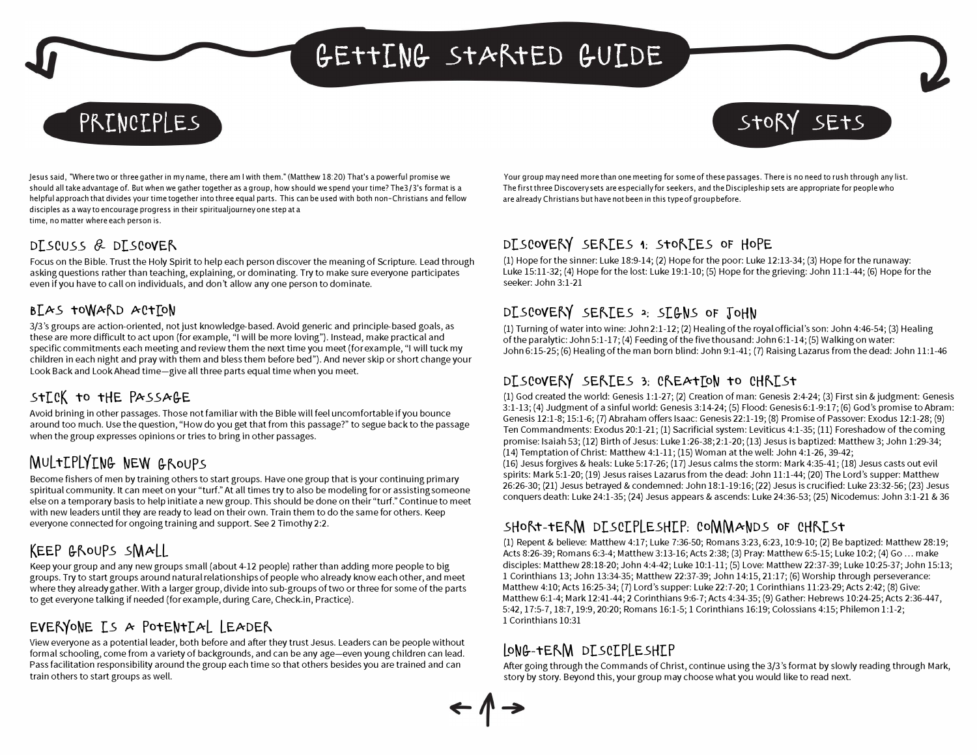# GETTING STARTED GUIDE

# PRINCIPLES

# $StoRY$   $Stes$

Jesus said, "Where two or three gather in my name, there am I with them." (Matthew 18:20) That's a powerful promise we should all take advantage of. But when we gather together as a group, how should we spend your time? The3/3's format is a helpful approach that divides your time together into three equal parts. This can be used with both non-Christians and fellow disciples as a way to encourage progress in their spiritual journey one step at a time, no matter where each person is.

#### $DT$  SCUSS  $R$  DT SCOVER

Focus on the Bible. Trust the Holy Spirit to help each person discover the meaning of Scripture. Lead through asking questions rather than teaching, explaining, or dominating. Try to make sure everyone participates even if you have to call on individuals, and don't allow any one person to dominate.

#### $BTAS$  toWARD ACTION

3/3's groups are action-oriented, not just knowledge-based. Avoid generic and principle-based goals, as these are more difficult to act upon (for example, "I will be more loving"). Instead, make practical and specific commitments each meeting and review them the next time you meet (for example, "I will tuck my children in each night and pray with them and bless them before bed"). And never skip or short change your Look Back and Look Ahead time-give all three parts equal time when you meet.

#### $STICK$  to the PASSAGE

Avoid brining in other passages. Those not familiar with the Bible will feel uncomfortable if you bounce around too much. Use the question, "How do you get that from this passage?" to segue back to the passage when the group expresses opinions or tries to bring in other passages.

#### MULTIPLYING NEW GROUPS

Become fishers of men by training others to start groups. Have one group that is your continuing primary spiritual community. It can meet on your "turf." At all times try to also be modeling for or assisting someone else on a temporary basis to help initiate a new group. This should be done on their "turf." Continue to meet with new leaders until they are ready to lead on their own. Train them to do the same for others. Keep everyone connected for ongoing training and support. See 2 Timothy 2:2.

#### KEEP GROUPS SMALL

Keep your group and any new groups small (about 4-12 people) rather than adding more people to big groups. Try to start groups around natural relationships of people who already know each other, and meet where they already gather. With a larger group, divide into sub-groups of two or three for some of the parts to get everyone talking if needed (for example, during Care, Check-in, Practice).

#### EVERYONE IS A POTENTIAL LEADER

View everyone as a potential leader, both before and after they trust Jesus. Leaders can be people without formal schooling, come from a variety of backgrounds, and can be any age—even young children can lead. Pass facilitation responsibility around the group each time so that others besides you are trained and can train others to start groups as well.

Your group may need more than one meeting for some of these passages. There is no need to rush through any list. The first three Discovery sets are especially for seekers, and the Discipleship sets are appropriate for people who are already Christians but have not been in this type of group before.

#### DISCOVERY SERIES 1: STORIES OF HOPE

(1) Hope for the sinner: Luke 18:9-14; (2) Hope for the poor: Luke 12:13-34; (3) Hope for the runaway: Luke 15:11-32; (4) Hope for the lost: Luke 19:1-10; (5) Hope for the grieving: John 11:1-44; (6) Hope for the seeker: John 3:1-21

#### DISCOVERY SERIES 2: SIGNS OF JOHN

(1) Turning of water into wine: John 2:1-12; (2) Healing of the royal official's son: John 4:46-54; (3) Healing of the paralytic: John 5:1-17; (4) Feeding of the five thousand: John 6:1-14; (5) Walking on water: John 6:15-25; (6) Healing of the man born blind: John 9:1-41; (7) Raising Lazarus from the dead: John 11:1-46

#### DISCOVERY SERIES 3: CREATION TO CHRIST

(1) God created the world: Genesis 1:1-27; (2) Creation of man: Genesis 2:4-24; (3) First sin & judgment: Genesis 3:1-13; (4) Judgment of a sinful world: Genesis 3:14-24; (5) Flood: Genesis 6:1-9:17; (6) God's promise to Abram: Genesis 12:1-8; 15:1-6; (7) Abraham offers Isaac: Genesis 22:1-19; (8) Promise of Passover: Exodus 12:1-28; (9) Ten Commandments: Exodus 20:1-21; (1) Sacrificial system: Leviticus 4:1-35; (11) Foreshadow of the coming promise: Isaiah 53; (12) Birth of Jesus: Luke 1:26-38; 2:1-20; (13) Jesus is baptized: Matthew 3; John 1:29-34; (14) Temptation of Christ: Matthew 4:1-11; (15) Woman at the well: John 4:1-26, 39-42; (16) Jesus forgives & heals: Luke 5:17-26; (17) Jesus calms the storm: Mark 4:35-41; (18) Jesus casts out evil spirits: Mark 5:l-20; (19) Jesus raises Lazarus from the dead: John 11:1-44; (20) The Lord's supper: Matthew 26:26-30; (21) Jesus betrayed & condemned: John 18:1-19:16; (22) Jesus is crucified: Luke 23:32-56; (23) Jesus conquers death: Luke 24:1-35; (24) Jesus appears & ascends: Luke 24:36-53; (25) Nicodemus: John 3:1-21 & 36

#### SHORT-TERM DISCIPLESHIP: COMMANDS OF CHRIST

(1) Repent & believe: Matthew 4:17; Luke 7:36-50; Romans 3:23, 6:23, 10:9-10; (2) Be baptized: Matthew 28:19; Acts 8:26-39; Romans 6:3-4; Matthew 3:13-16; Acts 2:38; (3) Pray: Matthew 6:5-15; Luke 10:2; (4) Go ... make disciples: Matthew 28:18-20; John 4:4-42; Luke 10:1-11; (5) Love: Matthew 22:37-39; Luke 10:25-37; John 15:13; 1 Corinthians 13; John 13:34-35; Matthew 22:37-39; John 14:15, 21:17; (6) Worship through perseverance: Matthew 4:10; Acts 16:25-34; (7) Lord's supper: Luke 22:7-20; 1 Corinthians 11:23-29; Acts 2:42; (8) Give: Matthew 6:1-4; Mark 12:41-44; 2 Corinthians 9:6-7; Acts 4:34-35; (9) Gather: Hebrews 10:24-25; Acts 2:36-447, 5:42, 17:5-7, 18:7, 19:9, 20:20; Romans 16:1-5; 1 Corinthians 16:19; Colossians 4:15; Philemon 1:1-2; 1 Corinthians 10:31

#### LONG-TERM DTSCTPLESHTP

← / →

After going through the Commands of Christ, continue using the 3/3's format by slowly reading through Mark, story by story. Beyond this, your group may choose what you would like to read next.